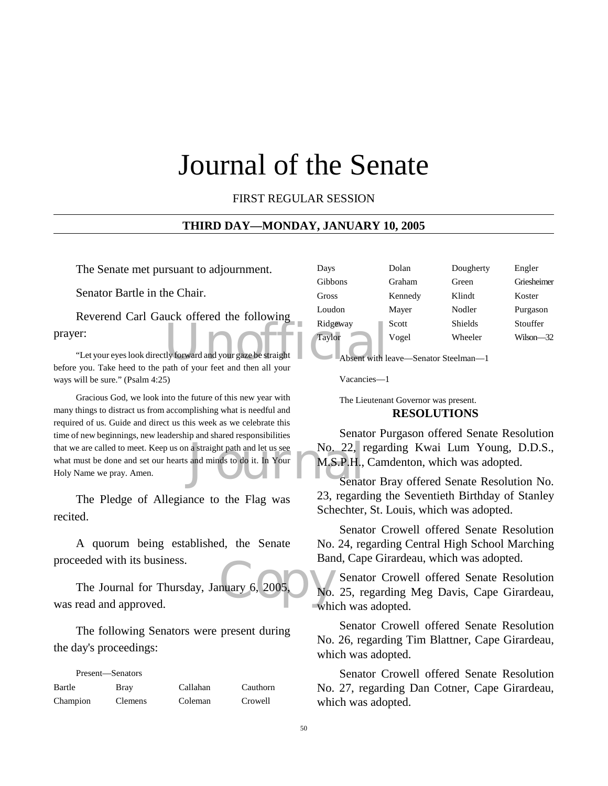## Journal of the Senate

FIRST REGULAR SESSION

#### **THIRD DAY—MONDAY, JANUARY 10, 2005**

The Senate met pursuant to adjournment.

Senator Bartle in the Chair.

Ridgeway<br>
Explore Higher Higher<br>
University forward and your gaze be straight<br>
Taylor<br>
Absent with It<br>
Absent with It Reverend Carl Gauck offered the following prayer:

"Let your eyes look directly forward and your gaze be straight before you. Take heed to the path of your feet and then all your ways will be sure." (Psalm 4:25)

a straight path and let us see No. 22, r<br>and minds to do it. In Your M.S.P.H.,<br>Senat Gracious God, we look into the future of this new year with many things to distract us from accomplishing what is needful and required of us. Guide and direct us this week as we celebrate this time of new beginnings, new leadership and shared responsibilities that we are called to meet. Keep us on a straight path and let us see what must be done and set our hearts and minds to do it. In Your Holy Name we pray. Amen.

The Pledge of Allegiance to the Flag was recited.

A quorum being established, the Senate proceeded with its business.

muary 6, 2005,  $\frac{1}{100}$  While The Journal for Thursday, January 6, 2005, was read and approved.

The following Senators were present during the day's proceedings:

| Present—Senators |                |          |          |
|------------------|----------------|----------|----------|
| Bartle           | <b>Bray</b>    | Callahan | Cauthorn |
| Champion         | <b>Clemens</b> | Coleman  | Crowell  |

| Days     | Dolan   | Dougherty      | Engler      |  |
|----------|---------|----------------|-------------|--|
| Gibbons  | Graham  | Green          | Griesheimer |  |
| Gross    | Kennedy | Klindt         | Koster      |  |
| Loudon   | Mayer   | Nodler         | Purgason    |  |
| Ridgeway | Scott   | <b>Shields</b> | Stouffer    |  |
| Taylor   | Vogel   | Wheeler        | Wilson—32   |  |
|          |         |                |             |  |

Absent with leave—Senator Steelman—1

Vacancies—1

The Lieutenant Governor was present.

#### **RESOLUTIONS**

Senator Purgason offered Senate Resolution No. 22, regarding Kwai Lum Young, D.D.S., M.S.P.H., Camdenton, which was adopted.

Senator Bray offered Senate Resolution No. 23, regarding the Seventieth Birthday of Stanley Schechter, St. Louis, which was adopted.

Senator Crowell offered Senate Resolution No. 24, regarding Central High School Marching Band, Cape Girardeau, which was adopted.

Senator Crowell offered Senate Resolution No. 25, regarding Meg Davis, Cape Girardeau, which was adopted.

Senator Crowell offered Senate Resolution No. 26, regarding Tim Blattner, Cape Girardeau, which was adopted.

Senator Crowell offered Senate Resolution No. 27, regarding Dan Cotner, Cape Girardeau, which was adopted.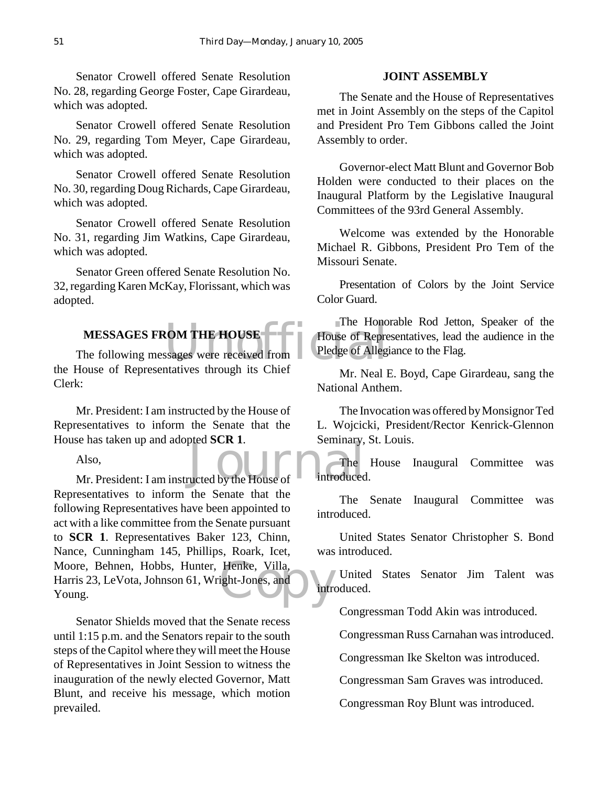Senator Crowell offered Senate Resolution No. 28, regarding George Foster, Cape Girardeau, which was adopted.

Senator Crowell offered Senate Resolution No. 29, regarding Tom Meyer, Cape Girardeau, which was adopted.

Senator Crowell offered Senate Resolution No. 30, regarding Doug Richards, Cape Girardeau, which was adopted.

Senator Crowell offered Senate Resolution No. 31, regarding Jim Watkins, Cape Girardeau, which was adopted.

Senator Green offered Senate Resolution No. 32, regarding Karen McKay, Florissant, which was adopted.

#### **MESSAGES FROM THE HOUSE**

FRICAL THE HOUSE<br>
Sages were received from<br>
The House of Repressages were received from<br>
Pledge of Allegi The following messages were received from the House of Representatives through its Chief Clerk:

Mr. President: I am instructed by the House of Representatives to inform the Senate that the House has taken up and adopted **SCR 1**.

Also,

Seining and adopted SCR 1.<br>
Also,<br>
Mr. President: I am instructed by the House of Introduced Moore, Behnen, Hobbs, Hunter, Henke, Villa, Harris 23, LeVota, Johnson 61, Wright-Jones, and Young. Representatives to inform the Senate that the following Representatives have been appointed to act with a like committee from the Senate pursuant to **SCR 1**. Representatives Baker 123, Chinn, Nance, Cunningham 145, Phillips, Roark, Icet, Harris 23, LeVota, Johnson 61, Wright-Jones, and Young.

Senator Shields moved that the Senate recess until 1:15 p.m. and the Senators repair to the south steps of the Capitol where they will meet the House of Representatives in Joint Session to witness the inauguration of the newly elected Governor, Matt Blunt, and receive his message, which motion prevailed.

#### **JOINT ASSEMBLY**

The Senate and the House of Representatives met in Joint Assembly on the steps of the Capitol and President Pro Tem Gibbons called the Joint Assembly to order.

Governor-elect Matt Blunt and Governor Bob Holden were conducted to their places on the Inaugural Platform by the Legislative Inaugural Committees of the 93rd General Assembly.

Welcome was extended by the Honorable Michael R. Gibbons, President Pro Tem of the Missouri Senate.

Presentation of Colors by the Joint Service Color Guard.

The Honorable Rod Jetton, Speaker of the House of Representatives, lead the audience in the Pledge of Allegiance to the Flag.

Mr. Neal E. Boyd, Cape Girardeau, sang the National Anthem.

The Invocation was offered by Monsignor Ted L. Wojcicki, President/Rector Kenrick-Glennon Seminary, St. Louis.

The House Inaugural Committee was introduced.

The Senate Inaugural Committee was introduced.

United States Senator Christopher S. Bond was introduced.

United States Senator Jim Talent was introduced.

Congressman Todd Akin was introduced.

Congressman Russ Carnahan was introduced.

Congressman Ike Skelton was introduced.

Congressman Sam Graves was introduced.

Congressman Roy Blunt was introduced.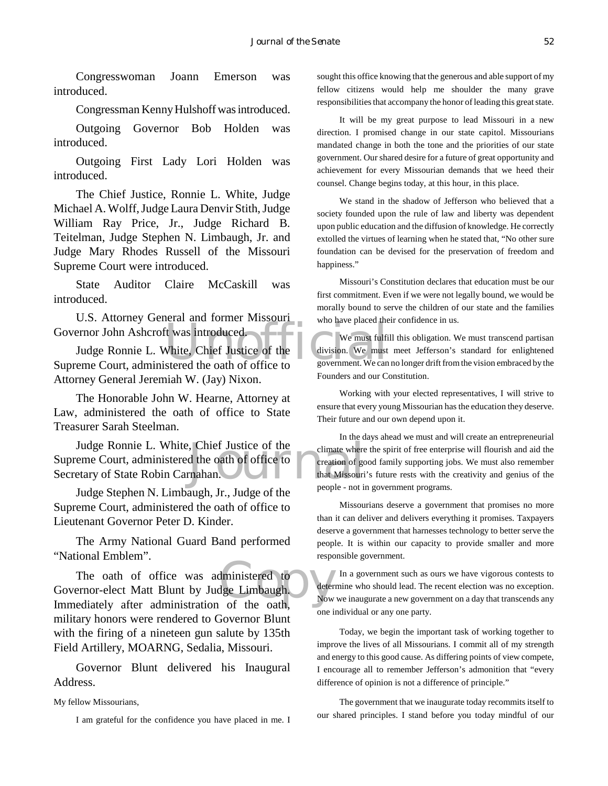Congresswoman Joann Emerson was introduced.

Congressman Kenny Hulshoff was introduced.

Outgoing Governor Bob Holden was introduced.

Outgoing First Lady Lori Holden was introduced.

The Chief Justice, Ronnie L. White, Judge Michael A. Wolff, Judge Laura Denvir Stith, Judge William Ray Price, Jr., Judge Richard B. Teitelman, Judge Stephen N. Limbaugh, Jr. and Judge Mary Rhodes Russell of the Missouri Supreme Court were introduced.

State Auditor Claire McCaskill was introduced.

U.S. Attorney General and former Missouri Governor John Ashcroft was introduced.

We must fulfi<br>
We must fulfi<br>
We must fulfi<br>
We must fulfi<br>
We must fulfi<br>
We must fulfi<br>
We must fulfi<br>
We must fulfi<br>
We must fulfi<br>
division. We must<br>
stered the oath of office to<br>
government. We can Judge Ronnie L. White, Chief Justice of the Supreme Court, administered the oath of office to Attorney General Jeremiah W. (Jay) Nixon.

The Honorable John W. Hearne, Attorney at Law, administered the oath of office to State Treasurer Sarah Steelman.

Figure 1. Chief Justice of the<br>
d the oath of office to<br>
that Missouries<br>
that Missouries<br>
people - not in Judge Ronnie L. White, Chief Justice of the Supreme Court, administered the oath of office to Secretary of State Robin Carnahan.

Judge Stephen N. Limbaugh, Jr., Judge of the Supreme Court, administered the oath of office to Lieutenant Governor Peter D. Kinder.

The Army National Guard Band performed "National Emblem".

dministered to<br>dge Limbaugh.<br>of the oath. The oath of office was administered to Governor-elect Matt Blunt by Judge Limbaugh. Immediately after administration of the oath, military honors were rendered to Governor Blunt with the firing of a nineteen gun salute by 135th Field Artillery, MOARNG, Sedalia, Missouri.

Governor Blunt delivered his Inaugural Address.

My fellow Missourians,

I am grateful for the confidence you have placed in me. I

sought this office knowing that the generous and able support of my fellow citizens would help me shoulder the many grave responsibilities that accompany the honor of leading this great state.

It will be my great purpose to lead Missouri in a new direction. I promised change in our state capitol. Missourians mandated change in both the tone and the priorities of our state government. Our shared desire for a future of great opportunity and achievement for every Missourian demands that we heed their counsel. Change begins today, at this hour, in this place.

We stand in the shadow of Jefferson who believed that a society founded upon the rule of law and liberty was dependent upon public education and the diffusion of knowledge. He correctly extolled the virtues of learning when he stated that, "No other sure foundation can be devised for the preservation of freedom and happiness."

Missouri's Constitution declares that education must be our first commitment. Even if we were not legally bound, we would be morally bound to serve the children of our state and the families who have placed their confidence in us.

We must fulfill this obligation. We must transcend partisan division. We must meet Jefferson's standard for enlightened government. We can no longer drift from the vision embraced by the Founders and our Constitution.

Working with your elected representatives, I will strive to ensure that every young Missourian has the education they deserve. Their future and our own depend upon it.

In the days ahead we must and will create an entrepreneurial climate where the spirit of free enterprise will flourish and aid the creation of good family supporting jobs. We must also remember that Missouri's future rests with the creativity and genius of the people - not in government programs.

Missourians deserve a government that promises no more than it can deliver and delivers everything it promises. Taxpayers deserve a government that harnesses technology to better serve the people. It is within our capacity to provide smaller and more responsible government.

In a government such as ours we have vigorous contests to determine who should lead. The recent election was no exception. Now we inaugurate a new government on a day that transcends any one individual or any one party.

Today, we begin the important task of working together to improve the lives of all Missourians. I commit all of my strength and energy to this good cause. As differing points of view compete, I encourage all to remember Jefferson's admonition that "every difference of opinion is not a difference of principle."

The government that we inaugurate today recommits itself to our shared principles. I stand before you today mindful of our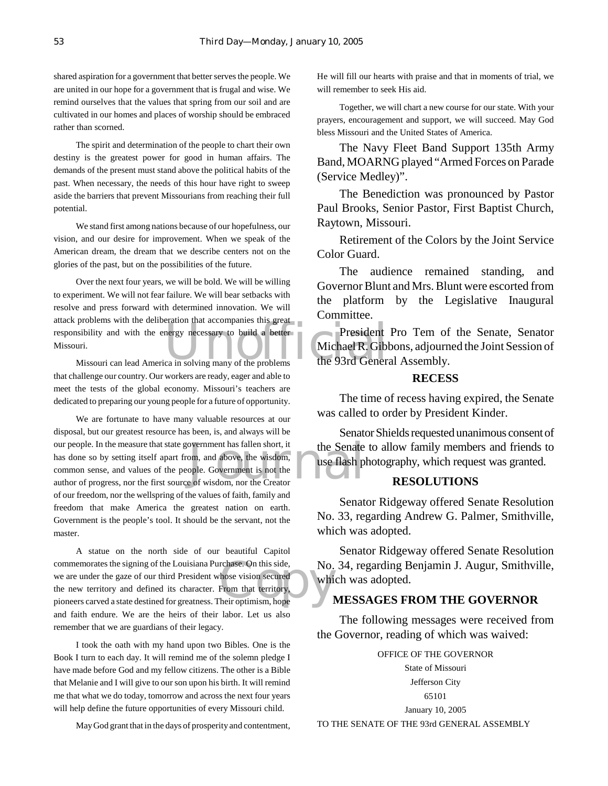shared aspiration for a government that better serves the people. We are united in our hope for a government that is frugal and wise. We remind ourselves that the values that spring from our soil and are cultivated in our homes and places of worship should be embraced rather than scorned.

The spirit and determination of the people to chart their own destiny is the greatest power for good in human affairs. The demands of the present must stand above the political habits of the past. When necessary, the needs of this hour have right to sweep aside the barriers that prevent Missourians from reaching their full potential.

We stand first among nations because of our hopefulness, our vision, and our desire for improvement. When we speak of the American dream, the dream that we describe centers not on the glories of the past, but on the possibilities of the future.

attack problems with the deliberation that accompanies this great<br>
responsibility and with the energy necessary to build a better<br>
Missouri Contract Contract President<br>
Missouri Contract President<br>
Missouri Contract Contra Over the next four years, we will be bold. We will be willing to experiment. We will not fear failure. We will bear setbacks with resolve and press forward with determined innovation. We will responsibility and with the energy necessary to build a better Missouri.

Missouri can lead America in solving many of the problems that challenge our country. Our workers are ready, eager and able to meet the tests of the global economy. Missouri's teachers are dedicated to preparing our young people for a future of opportunity.

overnment has fallen short, it the Senate<br>om, and above, the wisdom, use flash p<br>ople. Government is not the senator and the e of wisdom, nor the Creator We are fortunate to have many valuable resources at our disposal, but our greatest resource has been, is, and always will be our people. In the measure that state government has fallen short, it has done so by setting itself apart from, and above, the wisdom, common sense, and values of the people. Government is not the author of progress, nor the first source of wisdom, nor the Creator of our freedom, nor the wellspring of the values of faith, family and freedom that make America the greatest nation on earth. Government is the people's tool. It should be the servant, not the master.

commemorates the signing of the Louisiana Purchase. On this side,<br>
we are under the gaze of our third President whose vision secured<br>
the new territory and defined its character. From that territory,<br>
pioneers carved a sta A statue on the north side of our beautiful Capitol commemorates the signing of the Louisiana Purchase. On this side, we are under the gaze of our third President whose vision secured the new territory and defined its character. From that territory, and faith endure. We are the heirs of their labor. Let us also remember that we are guardians of their legacy.

I took the oath with my hand upon two Bibles. One is the Book I turn to each day. It will remind me of the solemn pledge I have made before God and my fellow citizens. The other is a Bible that Melanie and I will give to our son upon his birth. It will remind me that what we do today, tomorrow and across the next four years will help define the future opportunities of every Missouri child.

May God grant that in the days of prosperity and contentment,

He will fill our hearts with praise and that in moments of trial, we will remember to seek His aid.

Together, we will chart a new course for our state. With your prayers, encouragement and support, we will succeed. May God bless Missouri and the United States of America.

The Navy Fleet Band Support 135th Army Band, MOARNG played "Armed Forces on Parade (Service Medley)".

The Benediction was pronounced by Pastor Paul Brooks, Senior Pastor, First Baptist Church, Raytown, Missouri.

Retirement of the Colors by the Joint Service Color Guard.

The audience remained standing, and Governor Blunt and Mrs. Blunt were escorted from the platform by the Legislative Inaugural Committee.

President Pro Tem of the Senate, Senator Michael R. Gibbons, adjourned the Joint Session of the 93rd General Assembly.

#### **RECESS**

The time of recess having expired, the Senate was called to order by President Kinder.

Senator Shields requested unanimous consent of the Senate to allow family members and friends to use flash photography, which request was granted.

#### **RESOLUTIONS**

Senator Ridgeway offered Senate Resolution No. 33, regarding Andrew G. Palmer, Smithville, which was adopted.

Senator Ridgeway offered Senate Resolution No. 34, regarding Benjamin J. Augur, Smithville, which was adopted.

#### **MESSAGES FROM THE GOVERNOR**

The following messages were received from the Governor, reading of which was waived:

OFFICE OF THE GOVERNOR State of Missouri Jefferson City 65101 January 10, 2005

TO THE SENATE OF THE 93rd GENERAL ASSEMBLY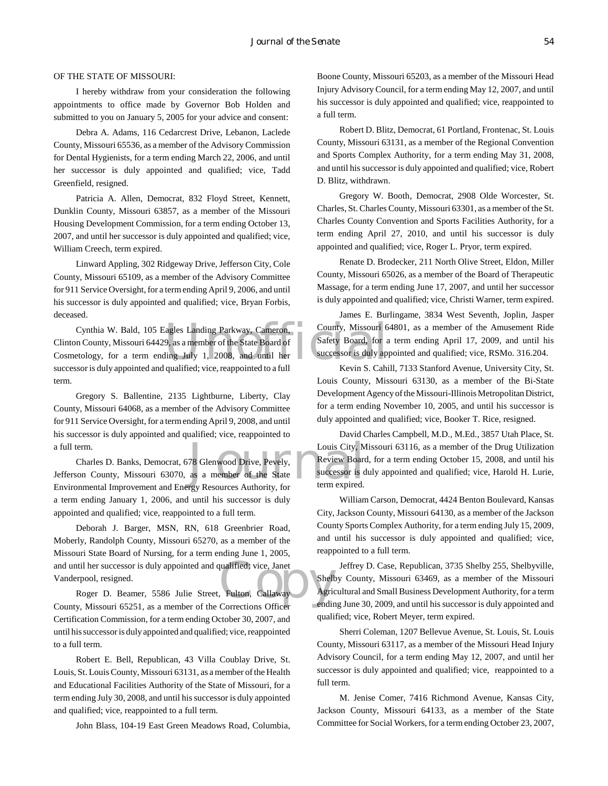#### OF THE STATE OF MISSOURI:

I hereby withdraw from your consideration the following appointments to office made by Governor Bob Holden and submitted to you on January 5, 2005 for your advice and consent:

Debra A. Adams, 116 Cedarcrest Drive, Lebanon, Laclede County, Missouri 65536, as a member of the Advisory Commission for Dental Hygienists, for a term ending March 22, 2006, and until her successor is duly appointed and qualified; vice, Tadd Greenfield, resigned.

Patricia A. Allen, Democrat, 832 Floyd Street, Kennett, Dunklin County, Missouri 63857, as a member of the Missouri Housing Development Commission, for a term ending October 13, 2007, and until her successor is duly appointed and qualified; vice, William Creech, term expired.

Linward Appling, 302 Ridgeway Drive, Jefferson City, Cole County, Missouri 65109, as a member of the Advisory Committee for 911 Service Oversight, for a term ending April 9, 2006, and until his successor is duly appointed and qualified; vice, Bryan Forbis, deceased.

Examples Landing Parkway, Cameron, County, Missouri 6<br>9, as a member of the State Board of Safety Board, for a<br>ling July 1, 2008, and until her successor is duly approached to a full the Kevin S. Cabi Cynthia W. Bald, 105 Eagles Landing Parkway, Cameron, Clinton County, Missouri 64429, as a member of the State Board of Cosmetology, for a term ending July 1, 2008, and until her successor is duly appointed and qualified; vice, reappointed to a full term.

Gregory S. Ballentine, 2135 Lightburne, Liberty, Clay County, Missouri 64068, as a member of the Advisory Committee for 911 Service Oversight, for a term ending April 9, 2008, and until his successor is duly appointed and qualified; vice, reappointed to a full term.

Louis City, M<br>
78 Glenwood Drive, Pevely, Review Board<br>
8 a member of the State successor is d<br>
19 a member of the State successor is d<br>
19 term expired. Charles D. Banks, Democrat, 678 Glenwood Drive, Pevely, Jefferson County, Missouri 63070, as a member of the State Environmental Improvement and Energy Resources Authority, for a term ending January 1, 2006, and until his successor is duly appointed and qualified; vice, reappointed to a full term.

qualified; vice, Janet<br>
Fulton, Callaway Agric<br>
Corrections Officer Deborah J. Barger, MSN, RN, 618 Greenbrier Road, Moberly, Randolph County, Missouri 65270, as a member of the Missouri State Board of Nursing, for a term ending June 1, 2005, and until her successor is duly appointed and qualified; vice, Janet Vanderpool, resigned.

Roger D. Beamer, 5586 Julie Street, Fulton, Callaway County, Missouri 65251, as a member of the Corrections Officer Certification Commission, for a term ending October 30, 2007, and until his successor is duly appointed and qualified; vice, reappointed to a full term.

Robert E. Bell, Republican, 43 Villa Coublay Drive, St. Louis, St. Louis County, Missouri 63131, as a member of the Health and Educational Facilities Authority of the State of Missouri, for a term ending July 30, 2008, and until his successor is duly appointed and qualified; vice, reappointed to a full term.

John Blass, 104-19 East Green Meadows Road, Columbia,

Boone County, Missouri 65203, as a member of the Missouri Head Injury Advisory Council, for a term ending May 12, 2007, and until his successor is duly appointed and qualified; vice, reappointed to a full term.

Robert D. Blitz, Democrat, 61 Portland, Frontenac, St. Louis County, Missouri 63131, as a member of the Regional Convention and Sports Complex Authority, for a term ending May 31, 2008, and until his successor is duly appointed and qualified; vice, Robert D. Blitz, withdrawn.

Gregory W. Booth, Democrat, 2908 Olde Worcester, St. Charles, St. Charles County, Missouri 63301, as a member of the St. Charles County Convention and Sports Facilities Authority, for a term ending April 27, 2010, and until his successor is duly appointed and qualified; vice, Roger L. Pryor, term expired.

Renate D. Brodecker, 211 North Olive Street, Eldon, Miller County, Missouri 65026, as a member of the Board of Therapeutic Massage, for a term ending June 17, 2007, and until her successor is duly appointed and qualified; vice, Christi Warner, term expired.

James E. Burlingame, 3834 West Seventh, Joplin, Jasper County, Missouri 64801, as a member of the Amusement Ride Safety Board, for a term ending April 17, 2009, and until his successor is duly appointed and qualified; vice, RSMo. 316.204.

Kevin S. Cahill, 7133 Stanford Avenue, University City, St. Louis County, Missouri 63130, as a member of the Bi-State Development Agency of the Missouri-Illinois Metropolitan District, for a term ending November 10, 2005, and until his successor is duly appointed and qualified; vice, Booker T. Rice, resigned.

David Charles Campbell, M.D., M.Ed., 3857 Utah Place, St. Louis City, Missouri 63116, as a member of the Drug Utilization Review Board, for a term ending October 15, 2008, and until his successor is duly appointed and qualified; vice, Harold H. Lurie, term expired.

William Carson, Democrat, 4424 Benton Boulevard, Kansas City, Jackson County, Missouri 64130, as a member of the Jackson County Sports Complex Authority, for a term ending July 15, 2009, and until his successor is duly appointed and qualified; vice, reappointed to a full term.

Jeffrey D. Case, Republican, 3735 Shelby 255, Shelbyville, Shelby County, Missouri 63469, as a member of the Missouri Agricultural and Small Business Development Authority, for a term ending June 30, 2009, and until his successor is duly appointed and qualified; vice, Robert Meyer, term expired.

Sherri Coleman, 1207 Bellevue Avenue, St. Louis, St. Louis County, Missouri 63117, as a member of the Missouri Head Injury Advisory Council, for a term ending May 12, 2007, and until her successor is duly appointed and qualified; vice, reappointed to a full term.

M. Jenise Comer, 7416 Richmond Avenue, Kansas City, Jackson County, Missouri 64133, as a member of the State Committee for Social Workers, for a term ending October 23, 2007,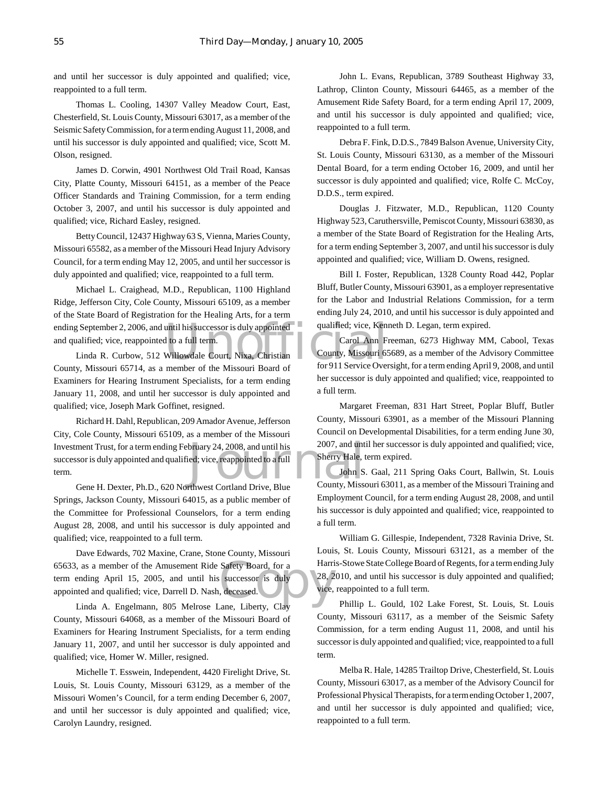and until her successor is duly appointed and qualified; vice, reappointed to a full term.

Thomas L. Cooling, 14307 Valley Meadow Court, East, Chesterfield, St. Louis County, Missouri 63017, as a member of the Seismic Safety Commission, for a term ending August 11, 2008, and until his successor is duly appointed and qualified; vice, Scott M. Olson, resigned.

James D. Corwin, 4901 Northwest Old Trail Road, Kansas City, Platte County, Missouri 64151, as a member of the Peace Officer Standards and Training Commission, for a term ending October 3, 2007, and until his successor is duly appointed and qualified; vice, Richard Easley, resigned.

Betty Council, 12437 Highway 63 S, Vienna, Maries County, Missouri 65582, as a member of the Missouri Head Injury Advisory Council, for a term ending May 12, 2005, and until her successor is duly appointed and qualified; vice, reappointed to a full term.

ending September 2, 2006, and until his successor is duly appointed<br>
and qualified; vice, reappointed to a full term.<br>
Linda R. Curbow, 512 Willowdale Court, Nixa, Christian<br>
County, Missouri 65714 as a member of the Misso Michael L. Craighead, M.D., Republican, 1100 Highland Ridge, Jefferson City, Cole County, Missouri 65109, as a member of the State Board of Registration for the Healing Arts, for a term and qualified; vice, reappointed to a full term.

Linda R. Curbow, 512 Willowdale Court, Nixa, Christian County, Missouri 65714, as a member of the Missouri Board of Examiners for Hearing Instrument Specialists, for a term ending January 11, 2008, and until her successor is duly appointed and qualified; vice, Joseph Mark Goffinet, resigned.

bruary 24, 2008, and until his 2007, and until<br>ied; vice, reappointed to a full<br>foling Sherry Hale, the County, Missenburgh County, Missen Richard H. Dahl, Republican, 209 Amador Avenue, Jefferson City, Cole County, Missouri 65109, as a member of the Missouri Investment Trust, for a term ending February 24, 2008, and until his successor is duly appointed and qualified; vice, reappointed to a full term.

Gene H. Dexter, Ph.D., 620 Northwest Cortland Drive, Blue Springs, Jackson County, Missouri 64015, as a public member of the Committee for Professional Counselors, for a term ending August 28, 2008, and until his successor is duly appointed and qualified; vice, reappointed to a full term.

Safety Board, for a Harri<br>successor is duly<br>deceased. Dave Edwards, 702 Maxine, Crane, Stone County, Missouri 65633, as a member of the Amusement Ride Safety Board, for a term ending April 15, 2005, and until his successor is duly appointed and qualified; vice, Darrell D. Nash, deceased.

Linda A. Engelmann, 805 Melrose Lane, Liberty, Clay County, Missouri 64068, as a member of the Missouri Board of Examiners for Hearing Instrument Specialists, for a term ending January 11, 2007, and until her successor is duly appointed and qualified; vice, Homer W. Miller, resigned.

Michelle T. Esswein, Independent, 4420 Firelight Drive, St. Louis, St. Louis County, Missouri 63129, as a member of the Missouri Women's Council, for a term ending December 6, 2007, and until her successor is duly appointed and qualified; vice, Carolyn Laundry, resigned.

John L. Evans, Republican, 3789 Southeast Highway 33, Lathrop, Clinton County, Missouri 64465, as a member of the Amusement Ride Safety Board, for a term ending April 17, 2009, and until his successor is duly appointed and qualified; vice, reappointed to a full term.

Debra F. Fink, D.D.S., 7849 Balson Avenue, University City, St. Louis County, Missouri 63130, as a member of the Missouri Dental Board, for a term ending October 16, 2009, and until her successor is duly appointed and qualified; vice, Rolfe C. McCoy, D.D.S., term expired.

Douglas J. Fitzwater, M.D., Republican, 1120 County Highway 523, Caruthersville, Pemiscot County, Missouri 63830, as a member of the State Board of Registration for the Healing Arts, for a term ending September 3, 2007, and until his successor is duly appointed and qualified; vice, William D. Owens, resigned.

Bill I. Foster, Republican, 1328 County Road 442, Poplar Bluff, Butler County, Missouri 63901, as a employer representative for the Labor and Industrial Relations Commission, for a term ending July 24, 2010, and until his successor is duly appointed and qualified; vice, Kenneth D. Legan, term expired.

Carol Ann Freeman, 6273 Highway MM, Cabool, Texas County, Missouri 65689, as a member of the Advisory Committee for 911 Service Oversight, for a term ending April 9, 2008, and until her successor is duly appointed and qualified; vice, reappointed to a full term.

Margaret Freeman, 831 Hart Street, Poplar Bluff, Butler County, Missouri 63901, as a member of the Missouri Planning Council on Developmental Disabilities, for a term ending June 30, 2007, and until her successor is duly appointed and qualified; vice, Sherry Hale, term expired.

John S. Gaal, 211 Spring Oaks Court, Ballwin, St. Louis County, Missouri 63011, as a member of the Missouri Training and Employment Council, for a term ending August 28, 2008, and until his successor is duly appointed and qualified; vice, reappointed to a full term.

William G. Gillespie, Independent, 7328 Ravinia Drive, St. Louis, St. Louis County, Missouri 63121, as a member of the Harris-Stowe State College Board of Regents, for a term ending July 28, 2010, and until his successor is duly appointed and qualified; vice, reappointed to a full term.

Phillip L. Gould, 102 Lake Forest, St. Louis, St. Louis County, Missouri 63117, as a member of the Seismic Safety Commission, for a term ending August 11, 2008, and until his successor is duly appointed and qualified; vice, reappointed to a full term.

Melba R. Hale, 14285 Trailtop Drive, Chesterfield, St. Louis County, Missouri 63017, as a member of the Advisory Council for Professional Physical Therapists, for a term ending October 1, 2007, and until her successor is duly appointed and qualified; vice, reappointed to a full term.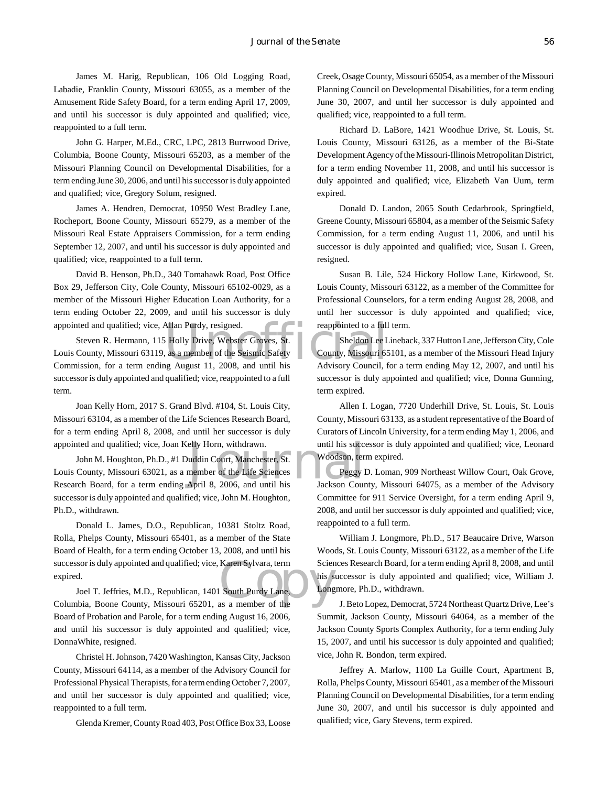James M. Harig, Republican, 106 Old Logging Road, Labadie, Franklin County, Missouri 63055, as a member of the Amusement Ride Safety Board, for a term ending April 17, 2009, and until his successor is duly appointed and qualified; vice, reappointed to a full term.

John G. Harper, M.Ed., CRC, LPC, 2813 Burrwood Drive, Columbia, Boone County, Missouri 65203, as a member of the Missouri Planning Council on Developmental Disabilities, for a term ending June 30, 2006, and until his successor is duly appointed and qualified; vice, Gregory Solum, resigned.

James A. Hendren, Democrat, 10950 West Bradley Lane, Rocheport, Boone County, Missouri 65279, as a member of the Missouri Real Estate Appraisers Commission, for a term ending September 12, 2007, and until his successor is duly appointed and qualified; vice, reappointed to a full term.

David B. Henson, Ph.D., 340 Tomahawk Road, Post Office Box 29, Jefferson City, Cole County, Missouri 65102-0029, as a member of the Missouri Higher Education Loan Authority, for a term ending October 22, 2009, and until his successor is duly appointed and qualified; vice, Allan Purdy, resigned.

appointed and qualified; vice, Allan Purdy, resigned. The reappointed to a full<br>
Steven R. Hermann, 115 Holly Drive, Webster Groves, St.<br>
Louis County, Missouri 63119, as a member of the Seismic Safety<br>
County, Missouri 65 Steven R. Hermann, 115 Holly Drive, Webster Groves, St. Louis County, Missouri 63119, as a member of the Seismic Safety successor is duly appointed and qualified; vice, reappointed to a full term.

Joan Kelly Horn, 2017 S. Grand Blvd. #104, St. Louis City, Missouri 63104, as a member of the Life Sciences Research Board, for a term ending April 8, 2008, and until her successor is duly appointed and qualified; vice, Joan Kelly Horn, withdrawn.

elly Horn, withdrawn. until his succe<br>
uddin Court, Manchester, St. Woodson, ten<br>
member of the Life Sciences<br>
April 8, 2006, and until his Jackson Cour John M. Houghton, Ph.D., #1 Duddin Court, Manchester, St. Louis County, Missouri 63021, as a member of the Life Sciences Research Board, for a term ending April 8, 2006, and until his successor is duly appointed and qualified; vice, John M. Houghton, Ph.D., withdrawn.

successor is duly appointed and qualified; vice, Karen Sylvara, term Scien<br>
Expired. Joel T. Jeffries, M.D., Republican, 1401 South Purdy Lane. Columbia, Boone County, Missouri 65201, as a member of the Donald L. James, D.O., Republican, 10381 Stoltz Road, Rolla, Phelps County, Missouri 65401, as a member of the State Board of Health, for a term ending October 13, 2008, and until his successor is duly appointed and qualified; vice, Karen Sylvara, term expired.

Joel T. Jeffries, M.D., Republican, 1401 South Purdy Lane, Board of Probation and Parole, for a term ending August 16, 2006, and until his successor is duly appointed and qualified; vice, DonnaWhite, resigned.

Christel H. Johnson, 7420 Washington, Kansas City, Jackson County, Missouri 64114, as a member of the Advisory Council for Professional Physical Therapists, for a term ending October 7, 2007, and until her successor is duly appointed and qualified; vice, reappointed to a full term.

Glenda Kremer, County Road 403, Post Office Box 33, Loose

Creek, Osage County, Missouri 65054, as a member of the Missouri Planning Council on Developmental Disabilities, for a term ending June 30, 2007, and until her successor is duly appointed and qualified; vice, reappointed to a full term.

Richard D. LaBore, 1421 Woodhue Drive, St. Louis, St. Louis County, Missouri 63126, as a member of the Bi-State Development Agency of the Missouri-Illinois Metropolitan District, for a term ending November 11, 2008, and until his successor is duly appointed and qualified; vice, Elizabeth Van Uum, term expired.

Donald D. Landon, 2065 South Cedarbrook, Springfield, Greene County, Missouri 65804, as a member of the Seismic Safety Commission, for a term ending August 11, 2006, and until his successor is duly appointed and qualified; vice, Susan I. Green, resigned.

Susan B. Lile, 524 Hickory Hollow Lane, Kirkwood, St. Louis County, Missouri 63122, as a member of the Committee for Professional Counselors, for a term ending August 28, 2008, and until her successor is duly appointed and qualified; vice, reappointed to a full term.

Sheldon Lee Lineback, 337 Hutton Lane, Jefferson City, Cole County, Missouri 65101, as a member of the Missouri Head Injury Advisory Council, for a term ending May 12, 2007, and until his successor is duly appointed and qualified; vice, Donna Gunning, term expired.

Allen I. Logan, 7720 Underhill Drive, St. Louis, St. Louis County, Missouri 63133, as a student representative of the Board of Curators of Lincoln University, for a term ending May 1, 2006, and until his successor is duly appointed and qualified; vice, Leonard Woodson, term expired.

Peggy D. Loman, 909 Northeast Willow Court, Oak Grove, Jackson County, Missouri 64075, as a member of the Advisory Committee for 911 Service Oversight, for a term ending April 9, 2008, and until her successor is duly appointed and qualified; vice, reappointed to a full term.

William J. Longmore, Ph.D., 517 Beaucaire Drive, Warson Woods, St. Louis County, Missouri 63122, as a member of the Life Sciences Research Board, for a term ending April 8, 2008, and until his successor is duly appointed and qualified; vice, William J. Longmore, Ph.D., withdrawn.

J. Beto Lopez, Democrat, 5724 Northeast Quartz Drive, Lee's Summit, Jackson County, Missouri 64064, as a member of the Jackson County Sports Complex Authority, for a term ending July 15, 2007, and until his successor is duly appointed and qualified; vice, John R. Bondon, term expired.

Jeffrey A. Marlow, 1100 La Guille Court, Apartment B, Rolla, Phelps County, Missouri 65401, as a member of the Missouri Planning Council on Developmental Disabilities, for a term ending June 30, 2007, and until his successor is duly appointed and qualified; vice, Gary Stevens, term expired.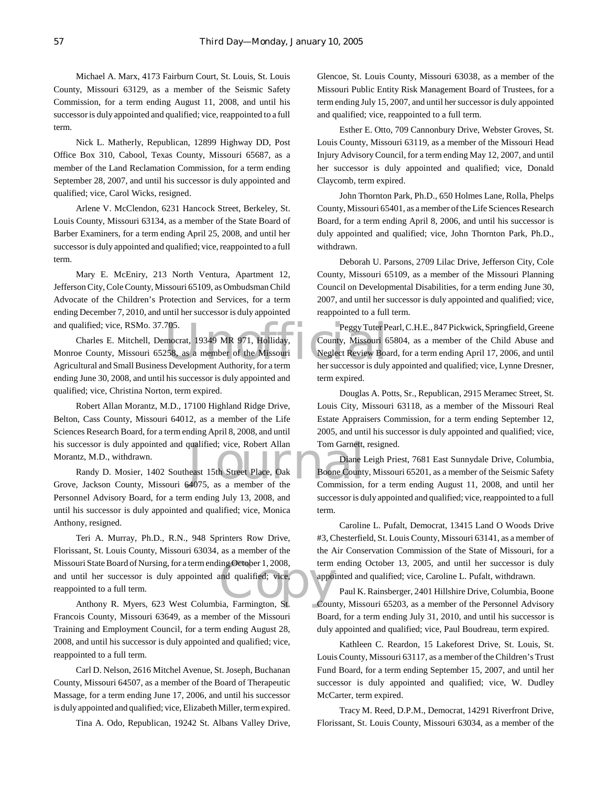Michael A. Marx, 4173 Fairburn Court, St. Louis, St. Louis County, Missouri 63129, as a member of the Seismic Safety Commission, for a term ending August 11, 2008, and until his successor is duly appointed and qualified; vice, reappointed to a full term.

Nick L. Matherly, Republican, 12899 Highway DD, Post Office Box 310, Cabool, Texas County, Missouri 65687, as a member of the Land Reclamation Commission, for a term ending September 28, 2007, and until his successor is duly appointed and qualified; vice, Carol Wicks, resigned.

Arlene V. McClendon, 6231 Hancock Street, Berkeley, St. Louis County, Missouri 63134, as a member of the State Board of Barber Examiners, for a term ending April 25, 2008, and until her successor is duly appointed and qualified; vice, reappointed to a full term.

Mary E. McEniry, 213 North Ventura, Apartment 12, Jefferson City, Cole County, Missouri 65109, as Ombudsman Child Advocate of the Children's Protection and Services, for a term ending December 7, 2010, and until her successor is duly appointed and qualified; vice, RSMo. 37.705.

and qualified; vice, RSMo. 37.705.<br>
Charles E. Mitchell, Democrat, 19349 MR 971, Holliday, County, Missouri 6<br>
Monroe County, Missouri 65258, as a member of the Missouri Neglect Review Boa<br>
Agricultural and Small Business Charles E. Mitchell, Democrat, 19349 MR 971, Holliday, Monroe County, Missouri 65258, as a member of the Missouri ending June 30, 2008, and until his successor is duly appointed and qualified; vice, Christina Norton, term expired.

qualified; vice, Robert Allan Tom Garnett,<br>least 15th Street Place, Oak Boone County<br>4075, as a member of the Commission, Robert Allan Morantz, M.D., 17100 Highland Ridge Drive, Belton, Cass County, Missouri 64012, as a member of the Life Sciences Research Board, for a term ending April 8, 2008, and until his successor is duly appointed and qualified; vice, Robert Allan Morantz, M.D., withdrawn.

Randy D. Mosier, 1402 Southeast 15th Street Place, Oak Grove, Jackson County, Missouri 64075, as a member of the Personnel Advisory Board, for a term ending July 13, 2008, and until his successor is duly appointed and qualified; vice, Monica Anthony, resigned.

uri State Board of Nursing, for a term ending October 1, 2008, term<br>
ntil her successor is duly appointed and qualified; vice, appo<br>
inted to a full term.<br>
Anthony R. Myers, 623 West Columbia, Farmington, St. Cour Teri A. Murray, Ph.D., R.N., 948 Sprinters Row Drive, Florissant, St. Louis County, Missouri 63034, as a member of the Missouri State Board of Nursing, for a term ending October 1, 2008, and until her successor is duly appointed and qualified; vice, reappointed to a full term.

Francois County, Missouri 63649, as a member of the Missouri Training and Employment Council, for a term ending August 28, 2008, and until his successor is duly appointed and qualified; vice, reappointed to a full term.

Carl D. Nelson, 2616 Mitchel Avenue, St. Joseph, Buchanan County, Missouri 64507, as a member of the Board of Therapeutic Massage, for a term ending June 17, 2006, and until his successor is duly appointed and qualified; vice, Elizabeth Miller, term expired.

Tina A. Odo, Republican, 19242 St. Albans Valley Drive,

Glencoe, St. Louis County, Missouri 63038, as a member of the Missouri Public Entity Risk Management Board of Trustees, for a term ending July 15, 2007, and until her successor is duly appointed and qualified; vice, reappointed to a full term.

Esther E. Otto, 709 Cannonbury Drive, Webster Groves, St. Louis County, Missouri 63119, as a member of the Missouri Head Injury Advisory Council, for a term ending May 12, 2007, and until her successor is duly appointed and qualified; vice, Donald Claycomb, term expired.

John Thornton Park, Ph.D., 650 Holmes Lane, Rolla, Phelps County, Missouri 65401, as a member of the Life Sciences Research Board, for a term ending April 8, 2006, and until his successor is duly appointed and qualified; vice, John Thornton Park, Ph.D., withdrawn.

Deborah U. Parsons, 2709 Lilac Drive, Jefferson City, Cole County, Missouri 65109, as a member of the Missouri Planning Council on Developmental Disabilities, for a term ending June 30, 2007, and until her successor is duly appointed and qualified; vice, reappointed to a full term.

Peggy Tuter Pearl, C.H.E., 847 Pickwick, Springfield, Greene County, Missouri 65804, as a member of the Child Abuse and Neglect Review Board, for a term ending April 17, 2006, and until her successor is duly appointed and qualified; vice, Lynne Dresner, term expired.

Douglas A. Potts, Sr., Republican, 2915 Meramec Street, St. Louis City, Missouri 63118, as a member of the Missouri Real Estate Appraisers Commission, for a term ending September 12, 2005, and until his successor is duly appointed and qualified; vice, Tom Garnett, resigned.

Diane Leigh Priest, 7681 East Sunnydale Drive, Columbia, Boone County, Missouri 65201, as a member of the Seismic Safety Commission, for a term ending August 11, 2008, and until her successor is duly appointed and qualified; vice, reappointed to a full term.

Caroline L. Pufalt, Democrat, 13415 Land O Woods Drive #3, Chesterfield, St. Louis County, Missouri 63141, as a member of the Air Conservation Commission of the State of Missouri, for a term ending October 13, 2005, and until her successor is duly appointed and qualified; vice, Caroline L. Pufalt, withdrawn.

Paul K. Rainsberger, 2401 Hillshire Drive, Columbia, Boone County, Missouri 65203, as a member of the Personnel Advisory Board, for a term ending July 31, 2010, and until his successor is duly appointed and qualified; vice, Paul Boudreau, term expired.

Kathleen C. Reardon, 15 Lakeforest Drive, St. Louis, St. Louis County, Missouri 63117, as a member of the Children's Trust Fund Board, for a term ending September 15, 2007, and until her successor is duly appointed and qualified; vice, W. Dudley McCarter, term expired.

Tracy M. Reed, D.P.M., Democrat, 14291 Riverfront Drive, Florissant, St. Louis County, Missouri 63034, as a member of the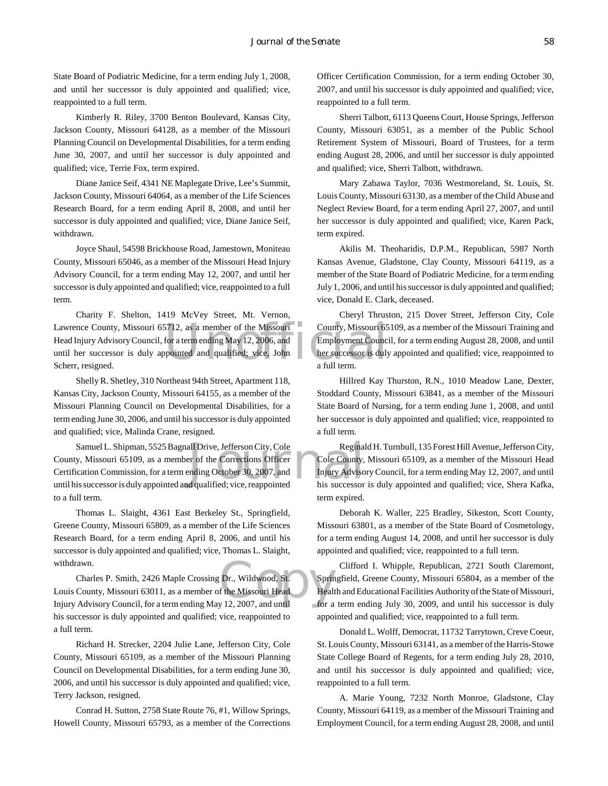State Board of Podiatric Medicine, for a term ending July 1, 2008, and until her successor is duly appointed and qualified; vice, reappointed to a full term.

Kimberly R. Riley, 3700 Benton Boulevard, Kansas City, Jackson County, Missouri 64128, as a member of the Missouri Planning Council on Developmental Disabilities, for a term ending June 30, 2007, and until her successor is duly appointed and qualified; vice, Terrie Fox, term expired.

Diane Janice Seif, 4341 NE Maplegate Drive, Lee's Summit, Jackson County, Missouri 64064, as a member of the Life Sciences Research Board, for a term ending April 8, 2008, and until her successor is duly appointed and qualified; vice, Diane Janice Seif, withdrawn.

Joyce Shaul, 54598 Brickhouse Road, Jamestown, Moniteau County, Missouri 65046, as a member of the Missouri Head Injury Advisory Council, for a term ending May 12, 2007, and until her successor is duly appointed and qualified; vice, reappointed to a full term.

Lawrence County, Missouri 65712, as a member of the Missouri County, Missouri 65<br>
Head Injury Advisory Council, for a term ending May 12, 2006, and<br>
until her successor is duly appointed and qualified; vice, John<br>
Scherr, Charity F. Shelton, 1419 McVey Street, Mt. Vernon, Head Injury Advisory Council, for a term ending May 12, 2006, and until her successor is duly appointed and qualified; vice, John Scherr, resigned.

Shelly R. Shetley, 310 Northeast 94th Street, Apartment 118, Kansas City, Jackson County, Missouri 64155, as a member of the Missouri Planning Council on Developmental Disabilities, for a term ending June 30, 2006, and until his successor is duly appointed and qualified; vice, Malinda Crane, resigned.

Samuel L. Shipman, 5525 Bagnall Drive, Jefferson City, Cole Reginal<br>
1999, Missouri 65109, as a member of the Corrections Officer<br>
Cole County, Cole County, Injury Advisory<br>
1991, Successor is duly appointed and qualified; County, Missouri 65109, as a member of the Corrections Officer Certification Commission, for a term ending October 30, 2007, and until his successor is duly appointed and qualified; vice, reappointed to a full term.

Thomas L. Slaight, 4361 East Berkeley St., Springfield, Greene County, Missouri 65809, as a member of the Life Sciences Research Board, for a term ending April 8, 2006, and until his successor is duly appointed and qualified; vice, Thomas L. Slaight, withdrawn.

Dr., Wildwood, St.<br>
f the Missouri Head<br>
y 12, 2007, and until for a Charles P. Smith, 2426 Maple Crossing Dr., Wildwood, St. Louis County, Missouri 63011, as a member of the Missouri Head Injury Advisory Council, for a term ending May 12, 2007, and until his successor is duly appointed and qualified; vice, reappointed to a full term.

Richard H. Strecker, 2204 Julie Lane, Jefferson City, Cole County, Missouri 65109, as a member of the Missouri Planning Council on Developmental Disabilities, for a term ending June 30, 2006, and until his successor is duly appointed and qualified; vice, Terry Jackson, resigned.

Conrad H. Sutton, 2758 State Route 76, #1, Willow Springs, Howell County, Missouri 65793, as a member of the Corrections Officer Certification Commission, for a term ending October 30, 2007, and until his successor is duly appointed and qualified; vice, reappointed to a full term.

Sherri Talbott, 6113 Queens Court, House Springs, Jefferson County, Missouri 63051, as a member of the Public School Retirement System of Missouri, Board of Trustees, for a term ending August 28, 2006, and until her successor is duly appointed and qualified; vice, Sherri Talbott, withdrawn.

Mary Zabawa Taylor, 7036 Westmoreland, St. Louis, St. Louis County, Missouri 63130, as a member of the Child Abuse and Neglect Review Board, for a term ending April 27, 2007, and until her successor is duly appointed and qualified; vice, Karen Pack, term expired.

Akilis M. Theoharidis, D.P.M., Republican, 5987 North Kansas Avenue, Gladstone, Clay County, Missouri 64119, as a member of the State Board of Podiatric Medicine, for a term ending July 1, 2006, and until his successor is duly appointed and qualified; vice, Donald E. Clark, deceased.

Cheryl Thruston, 215 Dover Street, Jefferson City, Cole County, Missouri 65109, as a member of the Missouri Training and Employment Council, for a term ending August 28, 2008, and until her successor is duly appointed and qualified; vice, reappointed to a full term.

Hillred Kay Thurston, R.N., 1010 Meadow Lane, Dexter, Stoddard County, Missouri 63841, as a member of the Missouri State Board of Nursing, for a term ending June 1, 2008, and until her successor is duly appointed and qualified; vice, reappointed to a full term.

Reginald H. Turnbull, 135 Forest Hill Avenue, Jefferson City, Cole County, Missouri 65109, as a member of the Missouri Head Injury Advisory Council, for a term ending May 12, 2007, and until his successor is duly appointed and qualified; vice, Shera Kafka, term expired.

Deborah K. Waller, 225 Bradley, Sikeston, Scott County, Missouri 63801, as a member of the State Board of Cosmetology, for a term ending August 14, 2008, and until her successor is duly appointed and qualified; vice, reappointed to a full term.

Clifford I. Whipple, Republican, 2721 South Claremont, Springfield, Greene County, Missouri 65804, as a member of the Health and Educational Facilities Authority of the State of Missouri, for a term ending July 30, 2009, and until his successor is duly appointed and qualified; vice, reappointed to a full term.

Donald L. Wolff, Democrat, 11732 Tarrytown, Creve Coeur, St. Louis County, Missouri 63141, as a member of the Harris-Stowe State College Board of Regents, for a term ending July 28, 2010, and until his successor is duly appointed and qualified; vice, reappointed to a full term.

A. Marie Young, 7232 North Monroe, Gladstone, Clay County, Missouri 64119, as a member of the Missouri Training and Employment Council, for a term ending August 28, 2008, and until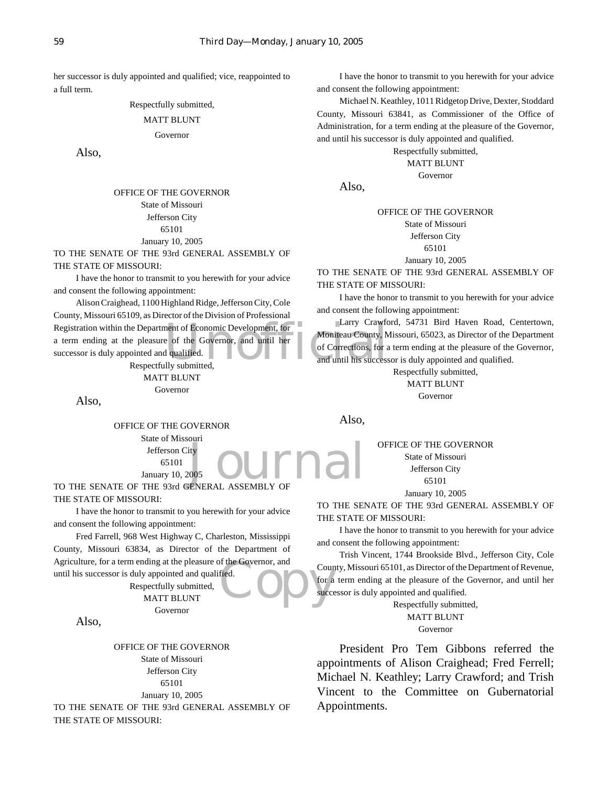her successor is duly appointed and qualified; vice, reappointed to a full term.

Respectfully submitted,

#### MATT BLUNT

#### Governor

Also,

OFFICE OF THE GOVERNOR State of Missouri Jefferson City 65101 January 10, 2005

TO THE SENATE OF THE 93rd GENERAL ASSEMBLY OF THE STATE OF MISSOURI:

I have the honor to transmit to you herewith for your advice and consent the following appointment:

Registration within the Department of Economic Development, for Larry Crawto<br>
a term ending at the pleasure of the Governor, and until her<br>
successor is duly appointed and qualified.<br>
Respectfully submitted, and until his Alison Craighead, 1100 Highland Ridge, Jefferson City, Cole County, Missouri 65109, as Director of the Division of Professional a term ending at the pleasure of the Governor, and until her successor is duly appointed and qualified.

Respectfully submitted,

MATT BLUNT Governor

Also,

OFFICE OF THE GOVERNOR State of Missouri

> 65101 January 10, 2005

**JOUrnal** TO THE SENATE OF THE 93rd GENERAL ASSEMBLY OF THE STATE OF MISSOURI:

I have the honor to transmit to you herewith for your advice and consent the following appointment:

Fred. Fred Farrell, 968 West Highway C, Charleston, Mississippi County, Missouri 63834, as Director of the Department of Agriculture, for a term ending at the pleasure of the Governor, and until his successor is duly appointed and qualified.

Respectfully submitted, MATT BLUNT Governor

Also,

OFFICE OF THE GOVERNOR State of Missouri Jefferson City 65101 January 10, 2005

TO THE SENATE OF THE 93rd GENERAL ASSEMBLY OF THE STATE OF MISSOURI:

I have the honor to transmit to you herewith for your advice and consent the following appointment:

Michael N. Keathley, 1011 Ridgetop Drive, Dexter, Stoddard County, Missouri 63841, as Commissioner of the Office of Administration, for a term ending at the pleasure of the Governor, and until his successor is duly appointed and qualified.

Respectfully submitted,

MATT BLUNT Governor

Also,

OFFICE OF THE GOVERNOR State of Missouri Jefferson City

65101

January 10, 2005

TO THE SENATE OF THE 93rd GENERAL ASSEMBLY OF THE STATE OF MISSOURI:

I have the honor to transmit to you herewith for your advice and consent the following appointment:

Larry Crawford, 54731 Bird Haven Road, Centertown, Moniteau County, Missouri, 65023, as Director of the Department of Corrections, for a term ending at the pleasure of the Governor, and until his successor is duly appointed and qualified.

> Respectfully submitted, MATT BLUNT

> > Governor

Also,

OFFICE OF THE GOVERNOR

State of Missouri Jefferson City 65101 January 10, 2005

TO THE SENATE OF THE 93rd GENERAL ASSEMBLY OF THE STATE OF MISSOURI:

I have the honor to transmit to you herewith for your advice and consent the following appointment:

Trish Vincent, 1744 Brookside Blvd., Jefferson City, Cole County, Missouri 65101, as Director of the Department of Revenue, for a term ending at the pleasure of the Governor, and until her successor is duly appointed and qualified.

> Respectfully submitted, MATT BLUNT Governor

President Pro Tem Gibbons referred the appointments of Alison Craighead; Fred Ferrell; Michael N. Keathley; Larry Crawford; and Trish Vincent to the Committee on Gubernatorial Appointments.

Jefferson City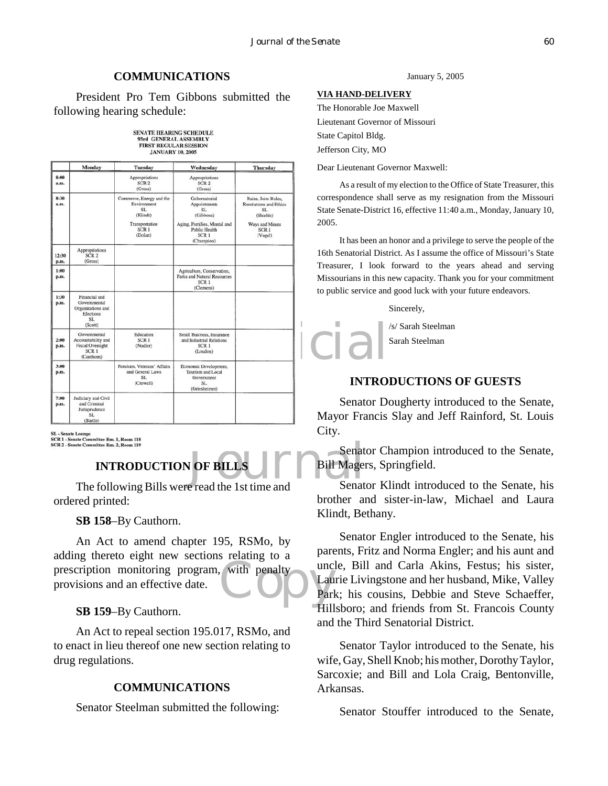#### **COMMUNICATIONS**

President Pro Tem Gibbons submitted the following hearing schedule:

| <b>SENATE HEARING SCHEDULE</b> |
|--------------------------------|
| 93rd GENERAL ASSEMBLY          |
| <b>FIRST REGULAR SESSION</b>   |
| <b>JANUARY 10, 2005</b>        |

|               | Monday                                                                                          | <b>Tuesday</b>                                                                                             | Wednesday                                                                                                                           | Thursday                                                                                                                  | Dear Lieutenant Gov                                                                                                                                                                                |
|---------------|-------------------------------------------------------------------------------------------------|------------------------------------------------------------------------------------------------------------|-------------------------------------------------------------------------------------------------------------------------------------|---------------------------------------------------------------------------------------------------------------------------|----------------------------------------------------------------------------------------------------------------------------------------------------------------------------------------------------|
| 8:00<br>a.m.  |                                                                                                 | Appropriations<br>SCR <sub>2</sub><br>(Gross)                                                              | Appropriations<br>SCR <sub>2</sub><br>(Gross)                                                                                       |                                                                                                                           | As a result of r<br>correspondence shal<br><b>State Senate-District</b><br>2005.<br>It has been an<br>16th Senatorial Disti<br>Treasurer, I look<br>Missourians in this r<br>to public service and |
| 8:30<br>a.m.  |                                                                                                 | Commerce, Energy and the<br>Environment<br>SL<br>(Klindt)<br>Transportation<br>SCR <sub>1</sub><br>(Dolan) | Gubernatorial<br>Appointments<br>SL.<br>(Gibbons)<br>Aging, Families, Mental and<br>Public Health<br>SCR <sub>1</sub><br>(Champion) | Rules, Joint Rules,<br><b>Resolutions and Ethics</b><br>SL.<br>(Shields)<br>Ways and Means<br>SCR <sub>1</sub><br>(Vogel) |                                                                                                                                                                                                    |
| 12:30<br>p.m. | Appropriations<br>SCR <sub>2</sub><br>(Gross)                                                   |                                                                                                            |                                                                                                                                     |                                                                                                                           |                                                                                                                                                                                                    |
| 1:00<br>p.m.  |                                                                                                 |                                                                                                            | Agriculture, Conservation,<br>Parks and Natural Resources<br>SCR <sub>1</sub><br>(Clemens)                                          |                                                                                                                           |                                                                                                                                                                                                    |
| 1:30<br>p.m.  | Financial and<br>Governmental<br>Organizations and<br>Elections<br>SL<br>(Scott)                |                                                                                                            |                                                                                                                                     |                                                                                                                           |                                                                                                                                                                                                    |
| 2:00<br>p.m.  | Governmental<br>Accountability and<br><b>Fiscal Oversight</b><br>SCR <sub>1</sub><br>(Cauthorn) | Education<br>SCR <sub>1</sub><br>(Nodler)                                                                  | Small Business, Insurance<br>and Industrial Relations<br>SCR <sub>1</sub><br>(Loudon)                                               |                                                                                                                           | icial<br><b>INTRO</b>                                                                                                                                                                              |
| 3:00<br>p.m.  |                                                                                                 | Pensions, Veterans' Affairs<br>and General Laws<br>SL.<br>(Crowell)                                        | Economic Development,<br>Tourism and Local<br>Government<br>SL<br>(Griesheimer)                                                     |                                                                                                                           |                                                                                                                                                                                                    |
| 7:00<br>p.m.  | Judiciary and Civil<br>and Criminal                                                             |                                                                                                            |                                                                                                                                     |                                                                                                                           | Senator De                                                                                                                                                                                         |
|               | Jurisprudence<br>SL<br>(Bartle)                                                                 |                                                                                                            |                                                                                                                                     |                                                                                                                           | Mayor Francis                                                                                                                                                                                      |

SL - Senate Lounge<br>SCR 1 - Senate Committee Rm. 1, Room 118<br>SCR 2 - Senate Committee Rm. 2, Room 119

### **INTRODUCTION OF BILLS**

The following Bills were read the 1st time and ordered printed:

#### **SB 158**–By Cauthorn.

prescription monitoring program, with penalty<br>provisions and an effective date. An Act to amend chapter 195, RSMo, by adding thereto eight new sections relating to a provisions and an effective date.

#### **SB 159**–By Cauthorn.

An Act to repeal section 195.017, RSMo, and to enact in lieu thereof one new section relating to drug regulations.

#### **COMMUNICATIONS**

Senator Steelman submitted the following:

January 5, 2005

#### **VIA HAND-DELIVERY**

The Honorable Joe Maxwell Lieutenant Governor of Missouri State Capitol Bldg. Jefferson City, MO

Dear Lieutenant Governor Maxwell:

As a result of my election to the Office of State Treasurer, this correspondence shall serve as my resignation from the Missouri State Senate-District 16, effective 11:40 a.m., Monday, January 10, 2005.

It has been an honor and a privilege to serve the people of the 16th Senatorial District. As I assume the office of Missouri's State Treasurer, I look forward to the years ahead and serving Missourians in this new capacity. Thank you for your commitment to public service and good luck with your future endeavors.

Sincerely,

/s/ Sarah Steelman Sarah Steelman

#### **INTRODUCTIONS OF GUESTS**

Senator Dougherty introduced to the Senate, Mayor Francis Slay and Jeff Rainford, St. Louis City.

Senat<br> **Journal Senat Senat Senat Senat Senat Senat Senat Senat** Senator Champion introduced to the Senate, Bill Magers, Springfield.

Senator Klindt introduced to the Senate, his brother and sister-in-law, Michael and Laura Klindt, Bethany.

Senator Engler introduced to the Senate, his parents, Fritz and Norma Engler; and his aunt and uncle, Bill and Carla Akins, Festus; his sister, Laurie Livingstone and her husband, Mike, Valley Park; his cousins, Debbie and Steve Schaeffer, Hillsboro; and friends from St. Francois County and the Third Senatorial District.

Senator Taylor introduced to the Senate, his wife, Gay, Shell Knob; his mother, Dorothy Taylor, Sarcoxie; and Bill and Lola Craig, Bentonville, Arkansas.

Senator Stouffer introduced to the Senate,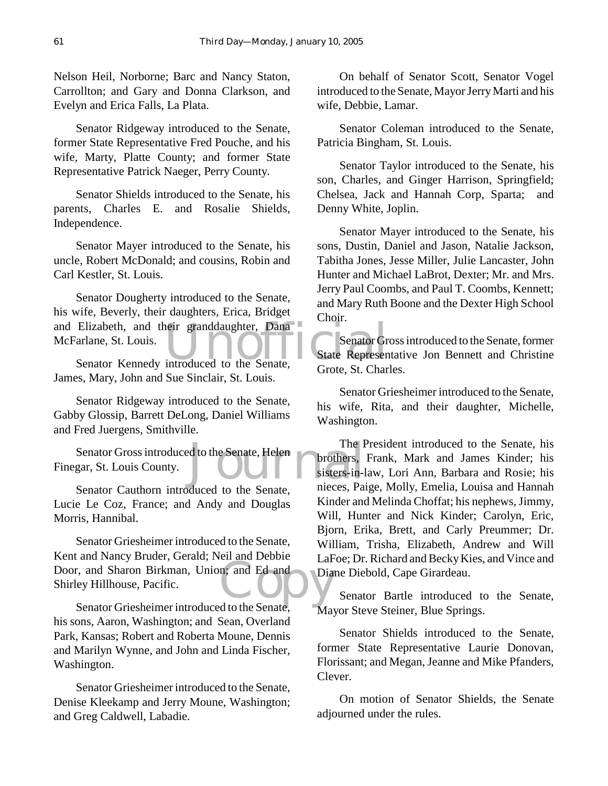Nelson Heil, Norborne; Barc and Nancy Staton, Carrollton; and Gary and Donna Clarkson, and Evelyn and Erica Falls, La Plata.

Senator Ridgeway introduced to the Senate, former State Representative Fred Pouche, and his wife, Marty, Platte County; and former State Representative Patrick Naeger, Perry County.

Senator Shields introduced to the Senate, his parents, Charles E. and Rosalie Shields, Independence.

Senator Mayer introduced to the Senate, his uncle, Robert McDonald; and cousins, Robin and Carl Kestler, St. Louis.

and Elizabeth, and their granddaughter, Dana<br>
McFarlane, St. Louis.<br>
Senator Kennedy introduced to the Senate, Grote St. Char Senator Dougherty introduced to the Senate, his wife, Beverly, their daughters, Erica, Bridget McFarlane, St. Louis.

Senator Kennedy introduced to the Senate, James, Mary, John and Sue Sinclair, St. Louis.

Senator Ridgeway introduced to the Senate, Gabby Glossip, Barrett DeLong, Daniel Williams and Fred Juergens, Smithville.

The I<br>
Senator Gross introduced to the Senate, Helen<br>
gar, St. Louis County.<br>
Senator Gauthern, introduced to the Senate pieces Pai Finegar, St. Louis County.

Senator Cauthorn introduced to the Senate, Lucie Le Coz, France; and Andy and Douglas Morris, Hannibal.

Ed and Door, and Sharon Birkman, Union; and Ed and Shirley Hillhouse, Pacific. Senator Griesheimer introduced to the Senate, Kent and Nancy Bruder, Gerald; Neil and Debbie Shirley Hillhouse, Pacific.

Senator Griesheimer introduced to the Senate, his sons, Aaron, Washington; and Sean, Overland Park, Kansas; Robert and Roberta Moune, Dennis and Marilyn Wynne, and John and Linda Fischer, Washington.

Senator Griesheimer introduced to the Senate, Denise Kleekamp and Jerry Moune, Washington; and Greg Caldwell, Labadie.

On behalf of Senator Scott, Senator Vogel introduced to the Senate, Mayor Jerry Marti and his wife, Debbie, Lamar.

Senator Coleman introduced to the Senate, Patricia Bingham, St. Louis.

Senator Taylor introduced to the Senate, his son, Charles, and Ginger Harrison, Springfield; Chelsea, Jack and Hannah Corp, Sparta; and Denny White, Joplin.

Senator Mayer introduced to the Senate, his sons, Dustin, Daniel and Jason, Natalie Jackson, Tabitha Jones, Jesse Miller, Julie Lancaster, John Hunter and Michael LaBrot, Dexter; Mr. and Mrs. Jerry Paul Coombs, and Paul T. Coombs, Kennett; and Mary Ruth Boone and the Dexter High School Choir.

Senator Gross introduced to the Senate, former State Representative Jon Bennett and Christine Grote, St. Charles.

Senator Griesheimer introduced to the Senate, his wife, Rita, and their daughter, Michelle, Washington.

The President introduced to the Senate, his brothers, Frank, Mark and James Kinder; his sisters-in-law, Lori Ann, Barbara and Rosie; his nieces, Paige, Molly, Emelia, Louisa and Hannah Kinder and Melinda Choffat; his nephews, Jimmy, Will, Hunter and Nick Kinder; Carolyn, Eric, Bjorn, Erika, Brett, and Carly Preummer; Dr. William, Trisha, Elizabeth, Andrew and Will LaFoe; Dr. Richard and Becky Kies, and Vince and Diane Diebold, Cape Girardeau.

Senator Bartle introduced to the Senate, Mayor Steve Steiner, Blue Springs.

Senator Shields introduced to the Senate, former State Representative Laurie Donovan, Florissant; and Megan, Jeanne and Mike Pfanders, Clever.

On motion of Senator Shields, the Senate adjourned under the rules.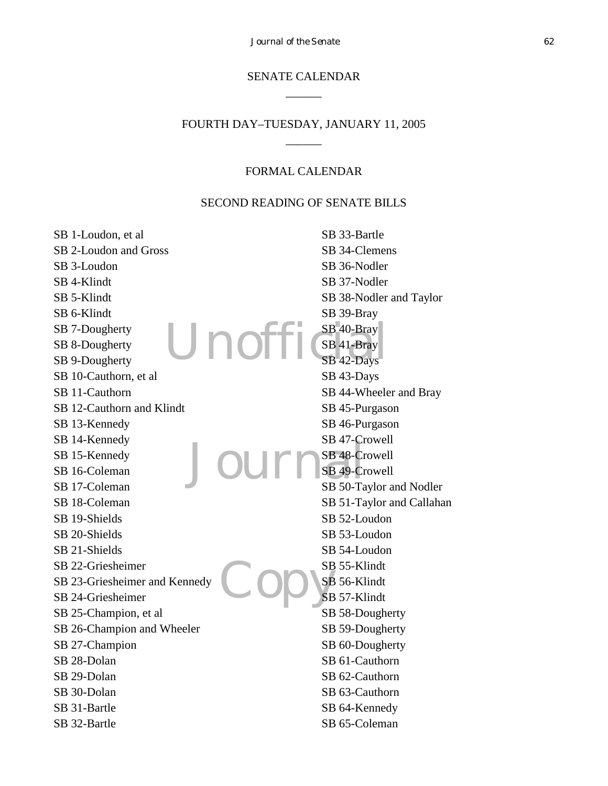#### SENATE CALENDAR  $\overline{\phantom{a}}$

#### FOURTH DAY–TUESDAY, JANUARY 11, 2005  $\overline{\phantom{a}}$

#### FORMAL CALENDAR

#### SECOND READING OF SENATE BILLS

Unofi Journ Copys SB 1-Loudon, et al SB 2-Loudon and Gross SB 3-Loudon SB 4-Klindt SB 5-Klindt SB 6-Klindt SB 7-Dougherty SB 8-Dougherty SB 9-Dougherty SB 10-Cauthorn, et al SB 11-Cauthorn SB 12-Cauthorn and Klindt SB 13-Kennedy SB 14-Kennedy SB 15-Kennedy SB 16-Coleman SB 17-Coleman SB 18-Coleman SB 19-Shields SB 20-Shields SB 21-Shields SB 22-Griesheimer SB 23-Griesheimer and Kennedy SB 24-Griesheimer SB 25-Champion, et al SB 26-Champion and Wheeler SB 27-Champion SB 28-Dolan SB 29-Dolan SB 30-Dolan SB 31-Bartle SB 32-Bartle SB 33-Bartle SB 34-Clemens SB 36-Nodler SB 37-Nodler SB 38-Nodler and Taylor SB 39-Bray SB 40-Bray SB 41-Bray SB 42-Days SB 43-Days SB 44-Wheeler and Bray SB 45-Purgason SB 46-Purgason SB 47-Crowell SB 48-Crowell SB 49-Crowell SB 50-Taylor and Nodler SB 51-Taylor and Callahan SB 52-Loudon SB 53-Loudon SB 54-Loudon SB 55-Klindt SB 56-Klindt SB 57-Klindt SB 58-Dougherty SB 59-Dougherty SB 60-Dougherty SB 61-Cauthorn SB 62-Cauthorn SB 63-Cauthorn SB 64-Kennedy SB 65-Coleman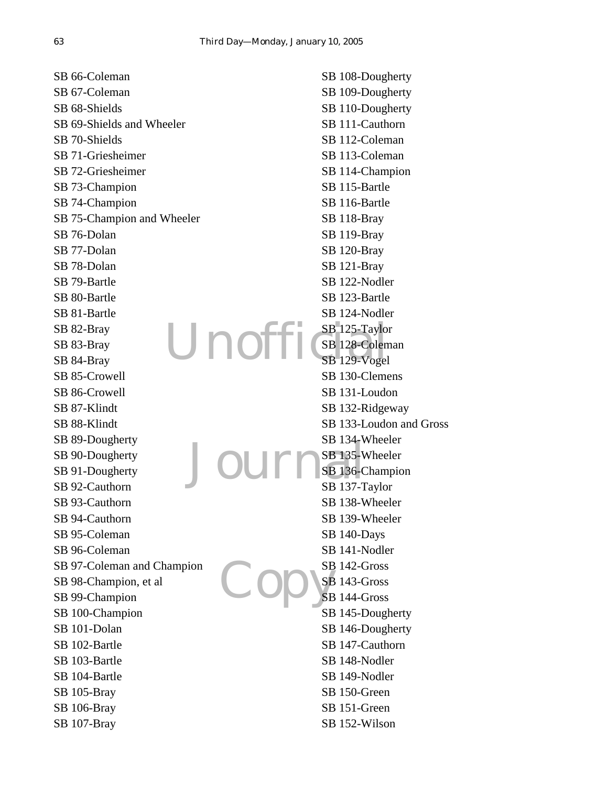Unoff Jourr Copys SB 66-Coleman SB 67-Coleman SB 68-Shields SB 69-Shields and Wheeler SB 70-Shields SB 71-Griesheimer SB 72-Griesheimer SB 73-Champion SB 74-Champion SB 75-Champion and Wheeler SB 76-Dolan SB 77-Dolan SB 78-Dolan SB 79-Bartle SB 80-Bartle SB 81-Bartle SB 82-Bray SB 83-Bray SB 84-Bray SB 85-Crowell SB 86-Crowell SB 87-Klindt SB 88-Klindt SB 89-Dougherty SB 90-Dougherty SB 91-Dougherty SB 92-Cauthorn SB 93-Cauthorn SB 94-Cauthorn SB 95-Coleman SB 96-Coleman SB 97-Coleman and Champion SB 98-Champion, et al SB 99-Champion SB 100-Champion SB 101-Dolan SB 102-Bartle SB 103-Bartle SB 104-Bartle SB 105-Bray SB 106-Bray SB 107-Bray SB 108-Dougherty SB 109-Dougherty SB 110-Dougherty SB 111-Cauthorn SB 112-Coleman SB 113-Coleman SB 114-Champion SB 115-Bartle SB 116-Bartle SB 118-Bray SB 119-Bray SB 120-Bray SB 121-Bray SB 122-Nodler SB 123-Bartle SB 124-Nodler SB 125-Taylor SB 128-Coleman SB 129-Vogel SB 130-Clemens SB 131-Loudon SB 132-Ridgeway SB 133-Loudon and Gross SB 134-Wheeler SB 135-Wheeler SB 136-Champion SB 137-Taylor SB 138-Wheeler SB 139-Wheeler SB 140-Days SB 141-Nodler SB 142-Gross SB 143-Gross SB 144-Gross SB 145-Dougherty SB 146-Dougherty SB 147-Cauthorn SB 148-Nodler SB 149-Nodler SB 150-Green SB 151-Green SB 152-Wilson